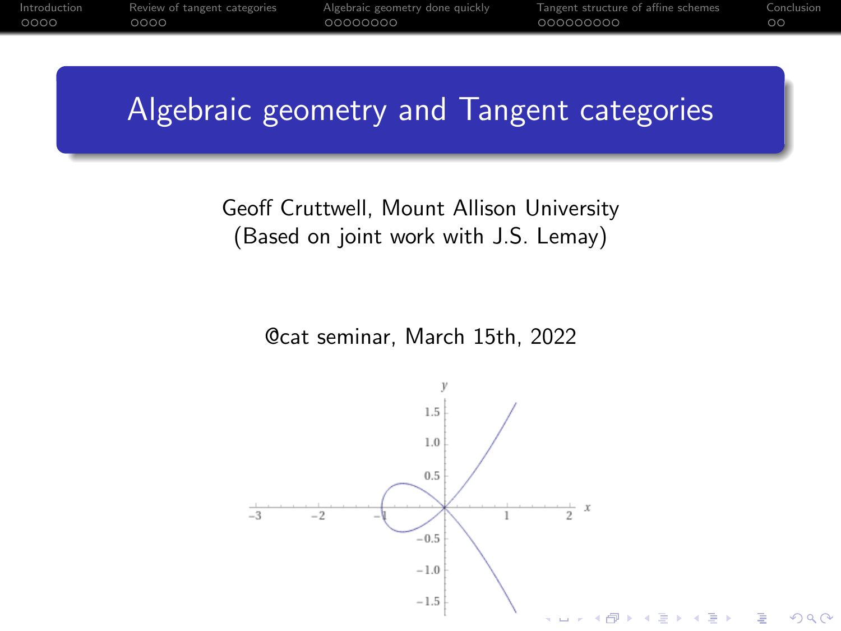# <span id="page-0-0"></span>Algebraic geometry and Tangent categories

### Geoff Cruttwell, Mount Allison University (Based on joint work with J.S. Lemay)

@cat seminar, March 15th, 2022

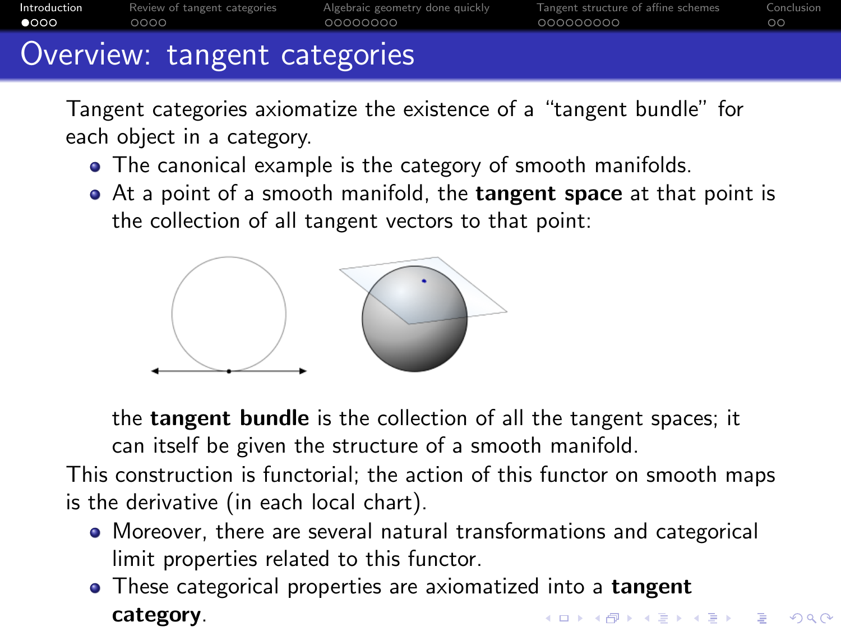<span id="page-1-0"></span>

|               | Overview: tangent categories |                                 |                                      |            |
|---------------|------------------------------|---------------------------------|--------------------------------------|------------|
| Introduction  | Review of tangent categories | Algebraic geometry done quickly | l angent structure of affine schemes | Conclusion |
| $\bullet$ 000 | റററെ                         | 00000000                        | 000000000                            |            |

Tangent categories axiomatize the existence of a "tangent bundle" for each object in a category.

- The canonical example is the category of smooth manifolds.
- At a point of a smooth manifold, the **tangent space** at that point is the collection of all tangent vectors to that point:



the tangent bundle is the collection of all the tangent spaces; it can itself be given the structure of a smooth manifold. This construction is functorial; the action of this functor on smooth maps is the derivative (in each local chart).

- Moreover, there are several natural transformations and categorical limit properties related to this functor.
- These categorical properties are axiomatized into a **tangent** category.K ロ ▶ K @ ▶ K 할 ▶ K 할 ▶ 이 할 → 9 Q Q →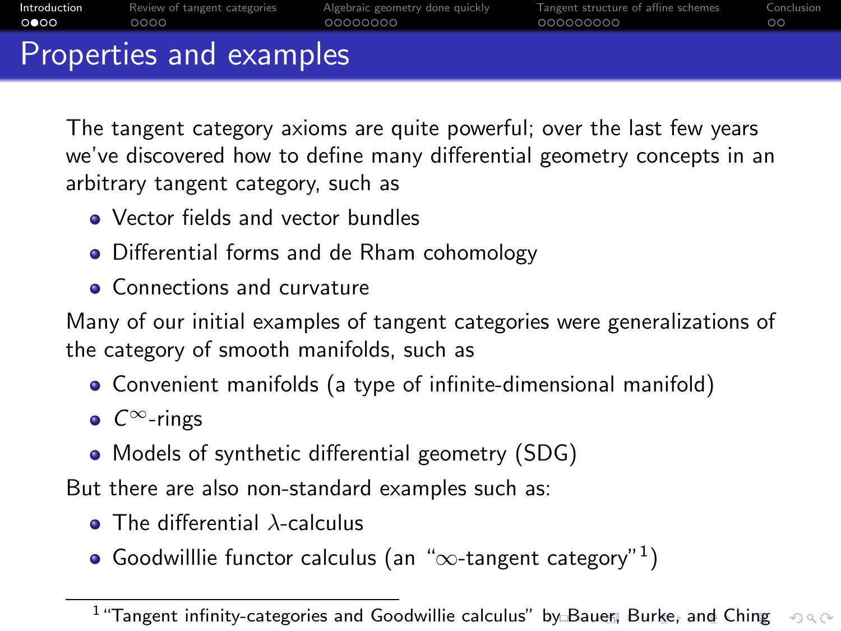<span id="page-2-0"></span>

|              | Properties and examples      |                                 |                                     |            |
|--------------|------------------------------|---------------------------------|-------------------------------------|------------|
| 0 000        | 0000                         | 00000000                        | 000000000                           | ററ         |
| Introduction | Review of tangent categories | Algebraic geometry done quickly | Tangent structure of affine schemes | Conclusion |

The tangent category axioms are quite powerful; over the last few years we've discovered how to define many differential geometry concepts in an arbitrary tangent category, such as

- Vector fields and vector bundles
- Differential forms and de Rham cohomology
- **Connections and curvature**

Many of our initial examples of tangent categories were generalizations of the category of smooth manifolds, such as

- Convenient manifolds (a type of infinite-dimensional manifold)
- $\bullet$   $C^{\infty}$ -rings
- Models of synthetic differential geometry (SDG)

But there are also non-standard examples such as:

- $\bullet$  The differential  $\lambda$ -calculus
- Goodwilllie functor calculus (an " $\infty$ -tangent category"<sup>1</sup>)

 $1$  "Tangent infinity-categories and Goodwillie calculus" [by](#page-1-0) [Ba](#page-3-0)[u](#page-0-0)[er,](#page-2-0) [B](#page-3-0)u[rk](#page-1-0)[e](#page-4-0)[,](#page-5-0) [a](#page-0-0)[nd](#page-1-0)[C](#page-5-0)[hin](#page-0-0)[g](#page-35-0)  $2Q$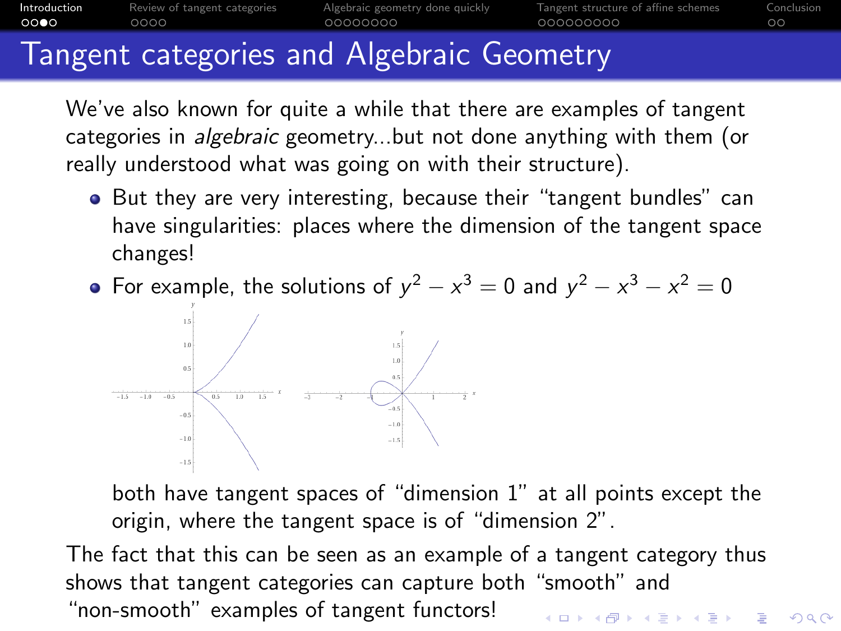<span id="page-3-0"></span>

## Tangent categories and Algebraic Geometry

We've also known for quite a while that there are examples of tangent categories in algebraic geometry...but not done anything with them (or really understood what was going on with their structure).

• But they are very interesting, because their "tangent bundles" can have singularities: places where the dimension of the tangent space changes!

For example, the solutions of  $y^2 - x^3 = 0$  and  $y^2 - x^3 - x^2 = 0$ 



both have tangent spaces of "dimension 1" at all points except the origin, where the tangent space is of "dimension 2".

The fact that this can be seen as an example of a tangent category thus shows that tangent categories can capture both "smooth" and "non-smooth" examples of tangent functors!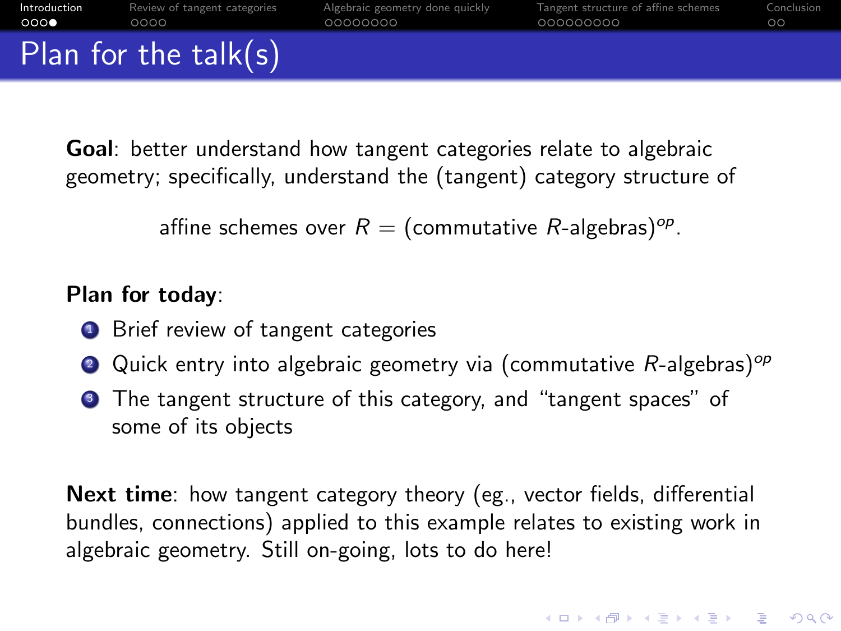<span id="page-4-0"></span>

| Introduction | Review of tangent categories | Algebraic geometry done quickly | Tangent structure of affine schemes | Conclusion |
|--------------|------------------------------|---------------------------------|-------------------------------------|------------|
| 000          | 0000                         | 00000000                        | 000000000                           | $\circ$    |
|              | Plan for the $talk(s)$       |                                 |                                     |            |

Goal: better understand how tangent categories relate to algebraic geometry; specifically, understand the (tangent) category structure of

affine schemes over  $R=(\hbox{\rm commutative}\,\, R\hbox{-algebras})^{op}.$ 

### Plan for today:

- **1** Brief review of tangent categories
- **2** Quick entry into algebraic geometry via (commutative  $R$ -algebras)<sup>op</sup>
- <sup>3</sup> The tangent structure of this category, and "tangent spaces" of some of its objects

Next time: how tangent category theory (eg., vector fields, differential bundles, connections) applied to this example relates to existing work in algebraic geometry. Still on-going, lots to do here!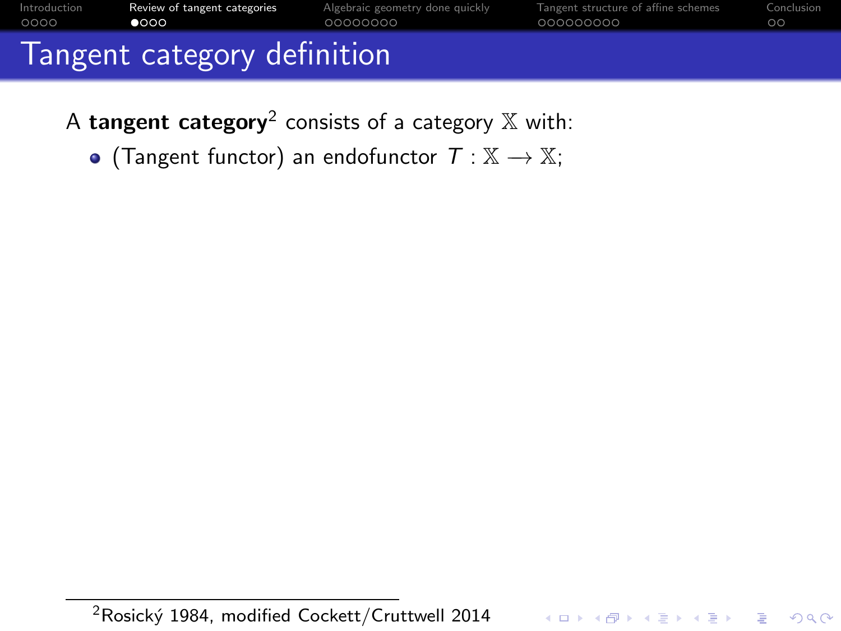<span id="page-5-0"></span>

| Introduction<br>0000        | Review of tangent categories<br>$\bullet$ 000 | Algebraic geometry done quickly<br>00000000 | Tangent structure of affine schemes<br>000000000 | Conclusion<br>$\circ$ |  |
|-----------------------------|-----------------------------------------------|---------------------------------------------|--------------------------------------------------|-----------------------|--|
| Tangent category definition |                                               |                                             |                                                  |                       |  |
|                             |                                               |                                             |                                                  |                       |  |

A  $\tt tangent \ category^2$  consists of a category  $\mathbb X$  with:

• (Tangent functor) an endofunctor  $T : \mathbb{X} \to \mathbb{X}$ ;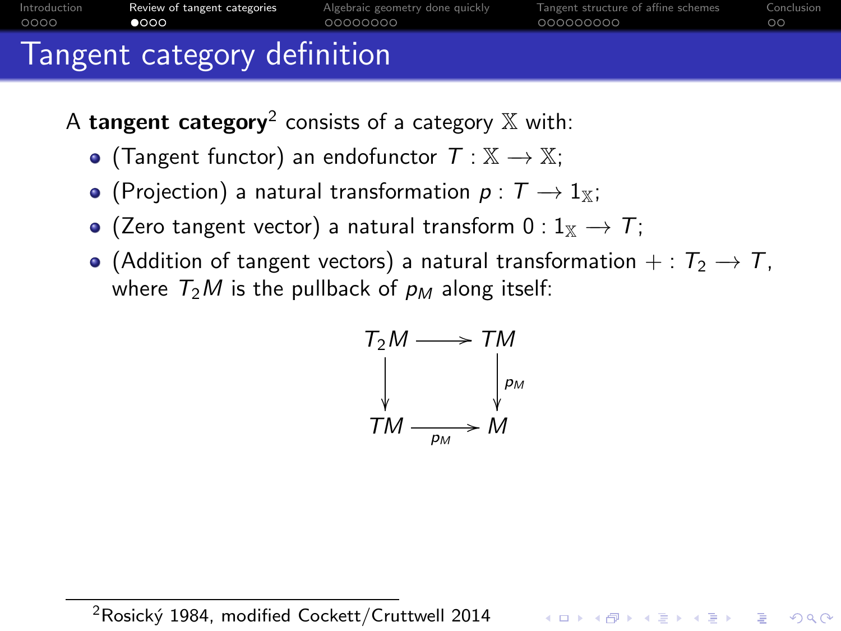

- A  $\tt tangent \ category^2$  consists of a category  $\mathbb X$  with:
	- (Tangent functor) an endofunctor  $T : \mathbb{X} \to \mathbb{X}$ ;
	- (Projection) a natural transformation  $p : T \to 1_X$ ;
	- $\bullet$  (Zero tangent vector) a natural transform 0 : 1<sub>X</sub>  $\rightarrow$  T;
	- (Addition of tangent vectors) a natural transformation + :  $T_2 \rightarrow T$ , where  $T_2M$  is the pullback of  $p_M$  along itself:

$$
T_2M \longrightarrow TM
$$
  
\n
$$
\downarrow \qquad \qquad \downarrow \qquad P_2M
$$
  
\n
$$
TM \longrightarrow M
$$

**KORKARYKERKER POLO** 

<sup>2</sup>Rosický 1984, modified Cockett/Cruttwell 2014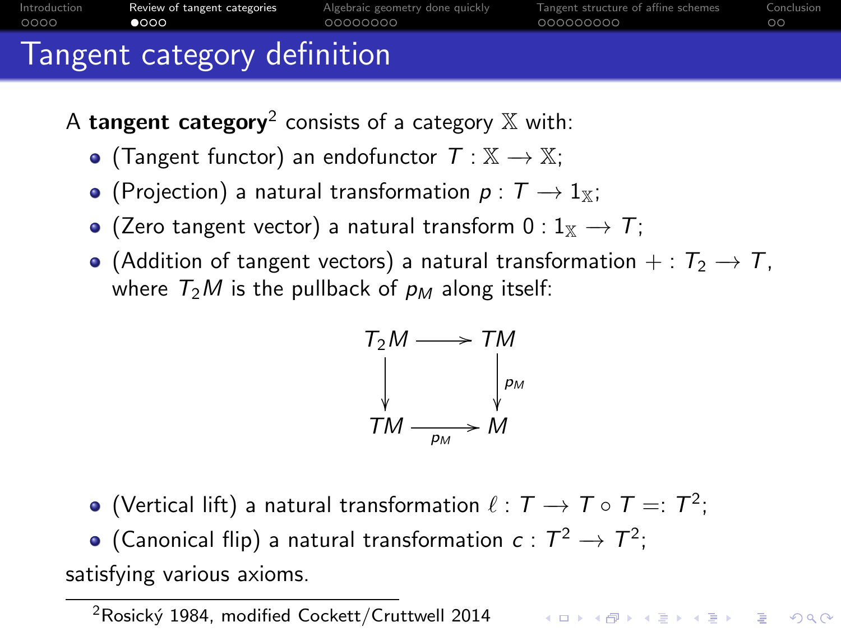

- A  $\tt tangent \ category^2$  consists of a category  $\mathbb X$  with:
	- (Tangent functor) an endofunctor  $T : \mathbb{X} \to \mathbb{X}$ ;
	- (Projection) a natural transformation  $p : T \to 1_X$ ;
	- $\bullet$  (Zero tangent vector) a natural transform 0 : 1<sub>X</sub>  $\rightarrow$  T;
	- (Addition of tangent vectors) a natural transformation + :  $T_2 \rightarrow T$ , where  $T_2M$  is the pullback of  $p_M$  along itself:

$$
T_2M \longrightarrow TM
$$
  
\n
$$
\downarrow \qquad \qquad \downarrow \qquad P_2M
$$
  
\n
$$
TM \longrightarrow M
$$

- (Vertical lift) a natural transformation  $\ell: \mathcal{T} \rightarrow \mathcal{T} \circ \mathcal{T} =: \mathcal{T}^2;$
- (Canonical flip) a natural transformation  $c: \mathcal{T}^2 \to \mathcal{T}^2;$

satisfying various axioms.

<sup>2</sup>Rosický 1984, modified Cockett/Cruttwell 2014 Arthur Address and the Second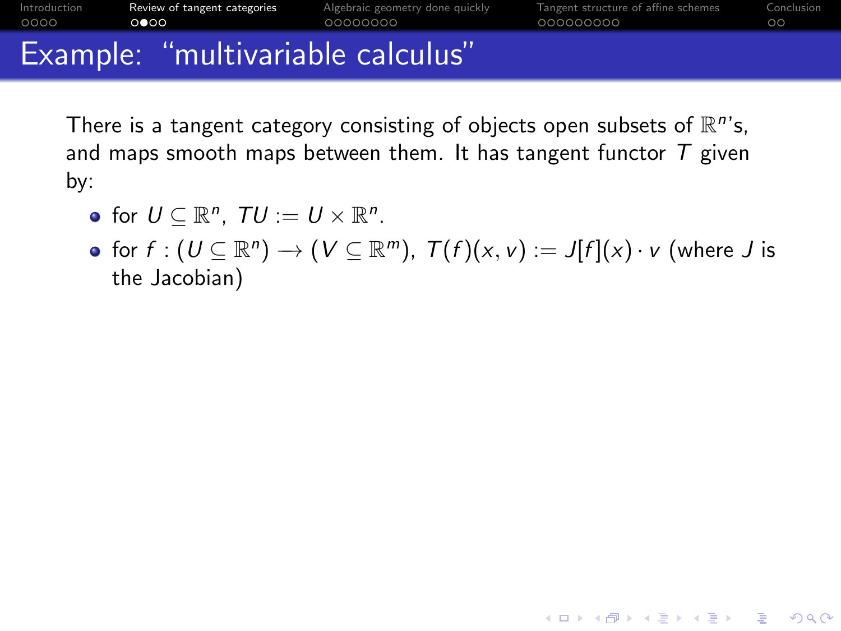|              | Example: "multivariable calculus" |                                 |                                     |            |
|--------------|-----------------------------------|---------------------------------|-------------------------------------|------------|
| 0000         | $\circ \bullet \circ \circ$       | 00000000                        | 000000000                           | ററ         |
| Introduction | Review of tangent categories      | Algebraic geometry done quickly | Tangent structure of affine schemes | Conclusion |

There is a tangent category consisting of objects open subsets of  $\mathbb{R}^n$ 's, and maps smooth maps between them. It has tangent functor  $T$  given by:

- for  $U \subseteq \mathbb{R}^n$ ,  $TU := U \times \mathbb{R}^n$ .
- for  $f:(U\subseteq \mathbb{R}^n) \to (V\subseteq \mathbb{R}^m)$ ,  $\mathcal{T}(f)(x,v):=J[f](x)\cdot v$  (where  $J$  is the Jacobian)

**KORKARYKERKER POLO**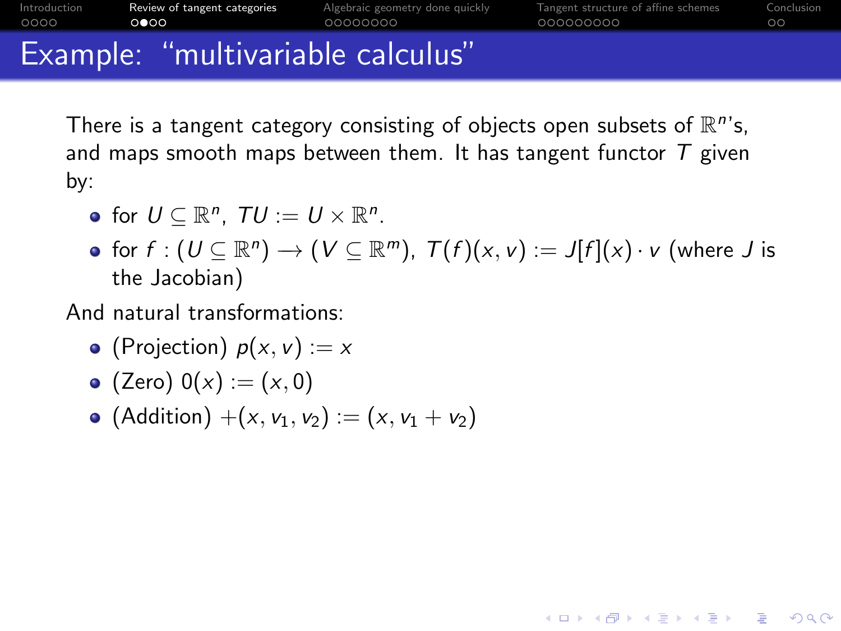|              | Example: "multivariable calculus" |                                 |                                     |            |
|--------------|-----------------------------------|---------------------------------|-------------------------------------|------------|
| 0000         | $\circ \bullet \circ \circ$       | 00000000                        | 000000000                           | ററ         |
| Introduction | Review of tangent categories      | Algebraic geometry done quickly | Tangent structure of affine schemes | Conclusion |

There is a tangent category consisting of objects open subsets of  $\mathbb{R}^n$ 's, and maps smooth maps between them. It has tangent functor  $T$  given by:

- for  $U \subseteq \mathbb{R}^n$ ,  $TU := U \times \mathbb{R}^n$ .
- for  $f:(U\subseteq \mathbb{R}^n) \to (V\subseteq \mathbb{R}^m)$ ,  $\mathcal{T}(f)(x,v):=J[f](x)\cdot v$  (where  $J$  is the Jacobian)

**KORKARYKERKER POLO** 

And natural transformations:

- (Projection)  $p(x, v) := x$
- (Zero)  $0(x) := (x, 0)$
- (Addition)  $+(x, v_1, v_2) := (x, v_1 + v_2)$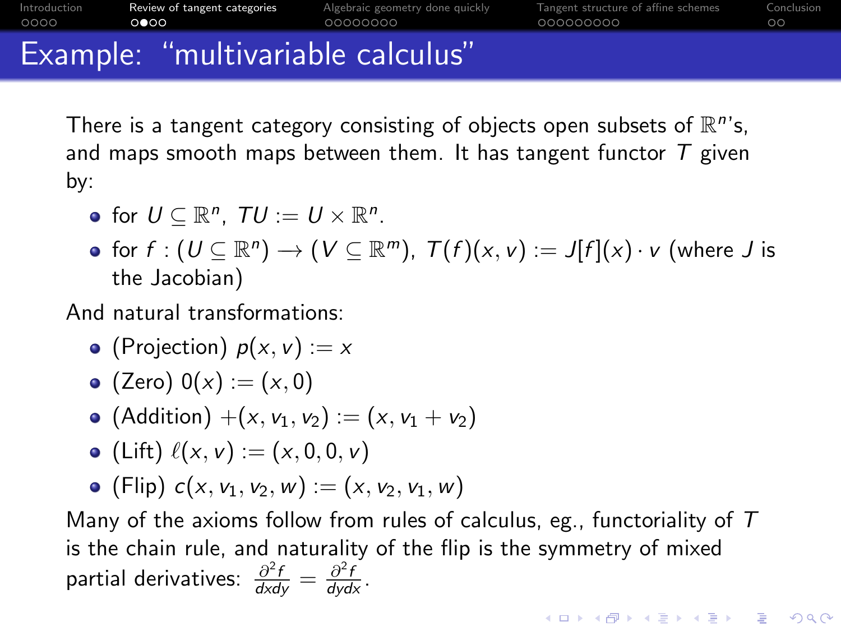|              | Example: "multivariable calculus" |                                 |                                     |            |
|--------------|-----------------------------------|---------------------------------|-------------------------------------|------------|
| 0000         | $\circ \bullet \circ \circ$       | 00000000                        | 000000000                           | ററ         |
| Introduction | Review of tangent categories      | Algebraic geometry done quickly | Tangent structure of affine schemes | Conclusion |

There is a tangent category consisting of objects open subsets of  $\mathbb{R}^n$ 's, and maps smooth maps between them. It has tangent functor  $T$  given by:

- for  $U \subseteq \mathbb{R}^n$ ,  $TU := U \times \mathbb{R}^n$ .
- for  $f:(U\subseteq \mathbb{R}^n) \to (V\subseteq \mathbb{R}^m)$ ,  $\mathcal{T}(f)(x,v):=J[f](x)\cdot v$  (where  $J$  is the Jacobian)

And natural transformations:

- (Projection)  $p(x, v) := x$
- (Zero)  $0(x) := (x, 0)$
- (Addition)  $+(x, v_1, v_2) := (x, v_1 + v_2)$
- (Lift)  $\ell(x, v) := (x, 0, 0, v)$
- (Flip)  $c(x, v_1, v_2, w) := (x, v_2, v_1, w)$

Many of the axioms follow from rules of calculus, eg., functoriality of  $T$ is the chain rule, and naturality of the flip is the symmetry of mixed partial derivatives:  $\frac{\partial^2 f}{\partial x \partial y} = \frac{\partial^2 f}{\partial y \partial x}$ .

**KORKAR KERKER ST VOOR**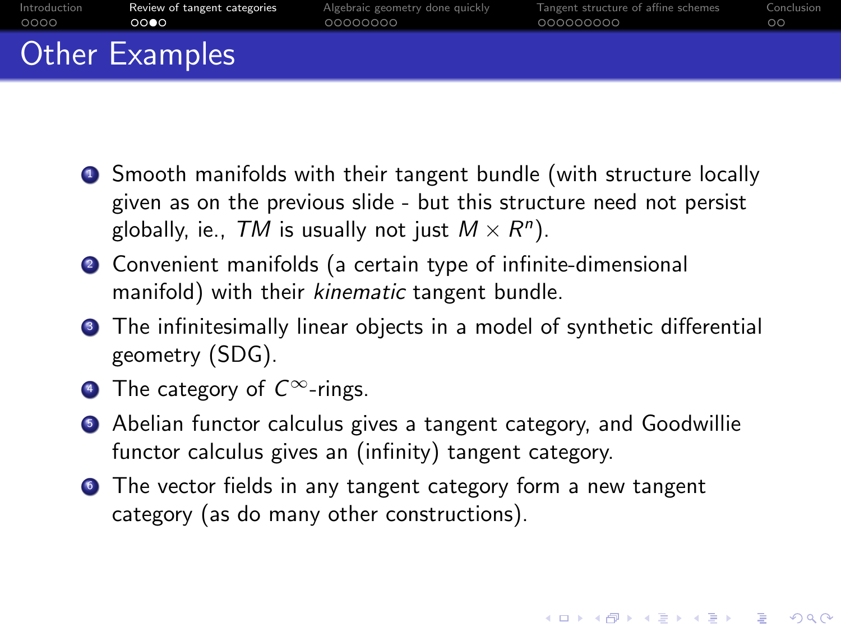| Introduction | Review of tangent categories | Algebraic geometry done quickly | Tangent structure of affine schemes | Conclusion |
|--------------|------------------------------|---------------------------------|-------------------------------------|------------|
| 0000         | 0000                         | 00000000                        | 000000000                           | ററ         |
|              | Other Examples               |                                 |                                     |            |

- **•** Smooth manifolds with their tangent bundle (with structure locally given as on the previous slide - but this structure need not persist globally, ie.,  ${\cal T} M$  is usually not just  $M\times R^n).$
- <sup>2</sup> Convenient manifolds (a certain type of infinite-dimensional manifold) with their kinematic tangent bundle.
- **3** The infinitesimally linear objects in a model of synthetic differential geometry (SDG).
- $\bullet$  The category of  $C^{\infty}$ -rings.
- <sup>5</sup> Abelian functor calculus gives a tangent category, and Goodwillie functor calculus gives an (infinity) tangent category.

**•** The vector fields in any tangent category form a new tangent category (as do many other constructions).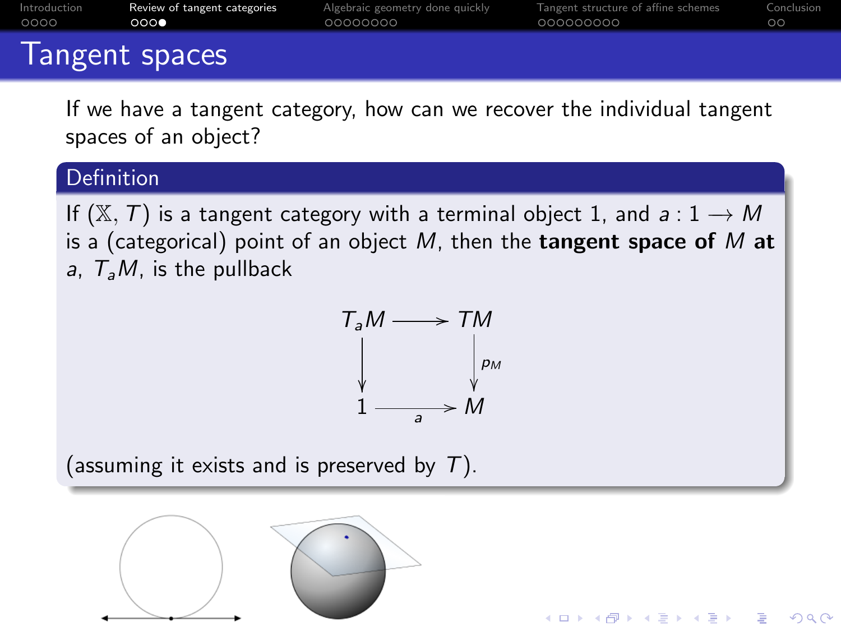| Introduction | Review of tangent categories | Algebraic geometry done quickly | Tangent structure of affine schemes | Conclusion |  |  |  |
|--------------|------------------------------|---------------------------------|-------------------------------------|------------|--|--|--|
| 0000         | ಂಂ∙                          | 00000000                        | 000000000                           | ററ         |  |  |  |
|              | Tammant and and              |                                 |                                     |            |  |  |  |

### Tangent spaces

If we have a tangent category, how can we recover the individual tangent spaces of an object?

#### **Definition**

If  $(\mathbb{X}, T)$  is a tangent category with a terminal object 1, and  $a: 1 \rightarrow M$ is a (categorical) point of an object  $M$ , then the **tangent space of**  $M$  at a,  $T<sub>a</sub>M$ , is the pullback

$$
T_a M \longrightarrow TM
$$
  
\n
$$
\downarrow \qquad \qquad \downarrow \qquad \qquad \rho_M
$$
  
\n
$$
1 \longrightarrow M
$$

**KORK EXTERNE PROVIDE** 

(assuming it exists and is preserved by  $T$ ).

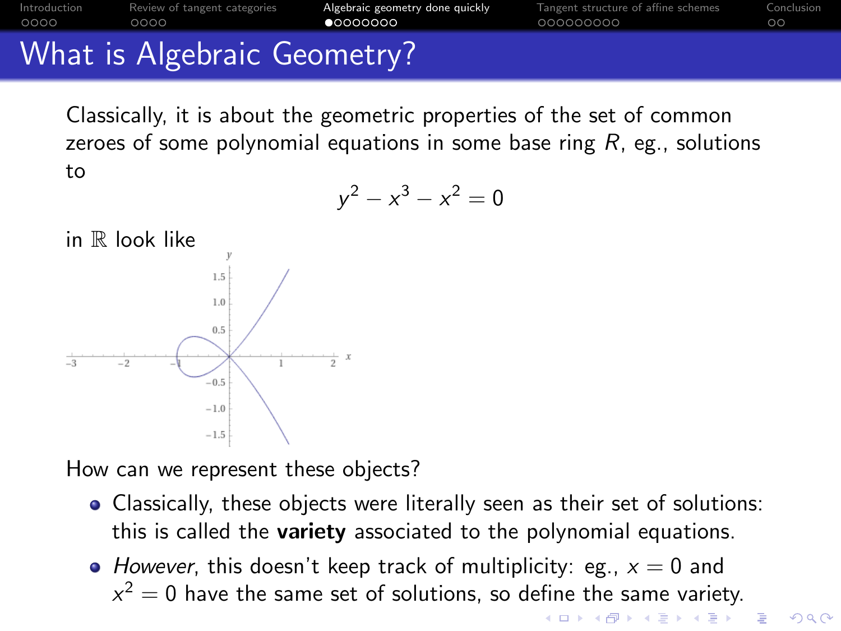<span id="page-13-0"></span>

Classically, it is about the geometric properties of the set of common zeroes of some polynomial equations in some base ring  $R$ , eg., solutions to

$$
y^2 - x^3 - x^2 = 0
$$



How can we represent these objects?

- Classically, these objects were literally seen as their set of solutions: this is called the variety associated to the polynomial equations.
- However, this doesn't keep track of multiplicity: eg.,  $x = 0$  and  $x^2 = 0$  have the same set of solutions, so define the same variety.

**K ロ ▶ K 何 ▶ K ヨ ▶ K ヨ ▶** B  $2990$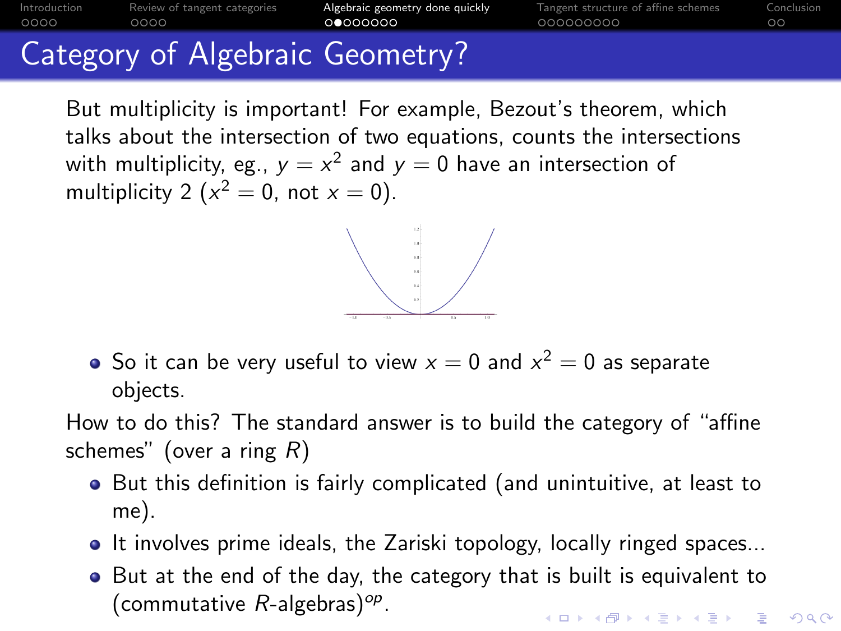## [Introduction](#page-1-0) [Review of tangent categories](#page-5-0) [Algebraic geometry done quickly](#page-13-0) [Tangent structure of affine schemes](#page-23-0) [Conclusion](#page-34-0) Category of Algebraic Geometry?

But multiplicity is important! For example, Bezout's theorem, which talks about the intersection of two equations, counts the intersections with multiplicity, eg.,  $y=x^2$  and  $y=0$  have an intersection of multiplicity 2 ( $x^2 = 0$ , not  $x = 0$ ).



How to do this? The standard answer is to build the category of "affine schemes" (over a ring  $R$ )

- But this definition is fairly complicated (and unintuitive, at least to me).
- It involves prime ideals, the Zariski topology, locally ringed spaces...
- But at the end of the day, the category that is built is equivalent to (commutative  $R$ -algebras)<sup>op</sup>. **KORK EXTERNE PROVIDE**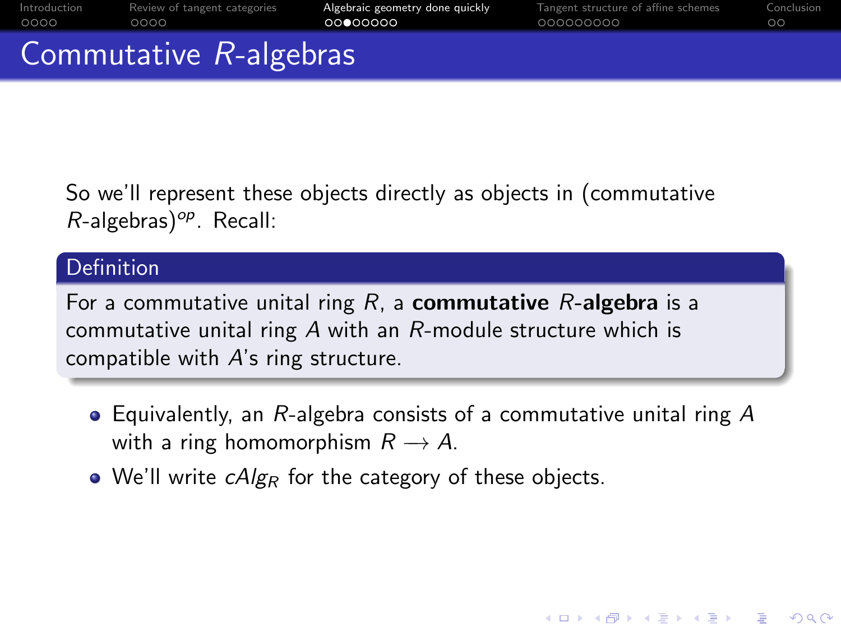|                                              | Commutative R-algebras |                                 |                                     |            |
|----------------------------------------------|------------------------|---------------------------------|-------------------------------------|------------|
| 0000                                         | 0000                   | 00000000                        | 000000000                           | $\circ$    |
| Introduction<br>Review of tangent categories |                        | Algebraic geometry done quickly | langent structure of affine schemes | Conclusion |

So we'll represent these objects directly as objects in (commutative  $R$ -algebras)<sup>op</sup>. Recall:

#### Definition

For a commutative unital ring  $R$ , a **commutative**  $R$ -algebra is a commutative unital ring A with an R-module structure which is compatible with A's ring structure.

• Equivalently, an R-algebra consists of a commutative unital ring A with a ring homomorphism  $R \to A$ .

**KORKARYKERKER POLO** 

• We'll write  $cAlg_R$  for the category of these objects.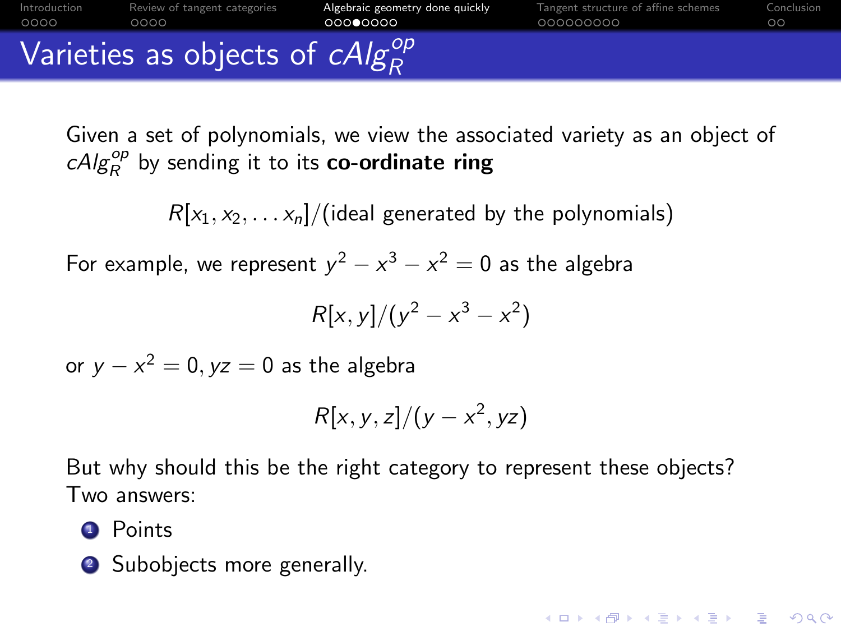|              |                              | Varieties as objects of $cAlg_{R}^{op}$ |                                     |            |
|--------------|------------------------------|-----------------------------------------|-------------------------------------|------------|
| Introduction | Review of tangent categories | Algebraic geometry done quickly         | langent structure of affine schemes | Conclusion |
| 0000         | 0000                         | 00000000                                | 000000000                           | OС         |

Given a set of polynomials, we view the associated variety as an object of  $\mathit{cAlg}^{\mathit{op}}_R$  by sending it to its **co-ordinate ring** 

 $R[x_1, x_2, \ldots x_n]/$  (ideal generated by the polynomials)

For example, we represent  $y^2 - x^3 - x^2 = 0$  as the algebra

$$
R[x,y]/(y^2-x^3-x^2)
$$

or  $y - x^2 = 0, yz = 0$  as the algebra

$$
R[x, y, z]/(y - x^2, yz)
$$

KELK KØLK VELKEN EL 1990

But why should this be the right category to represent these objects? Two answers:

#### **1** Points

• Subobjects more generally.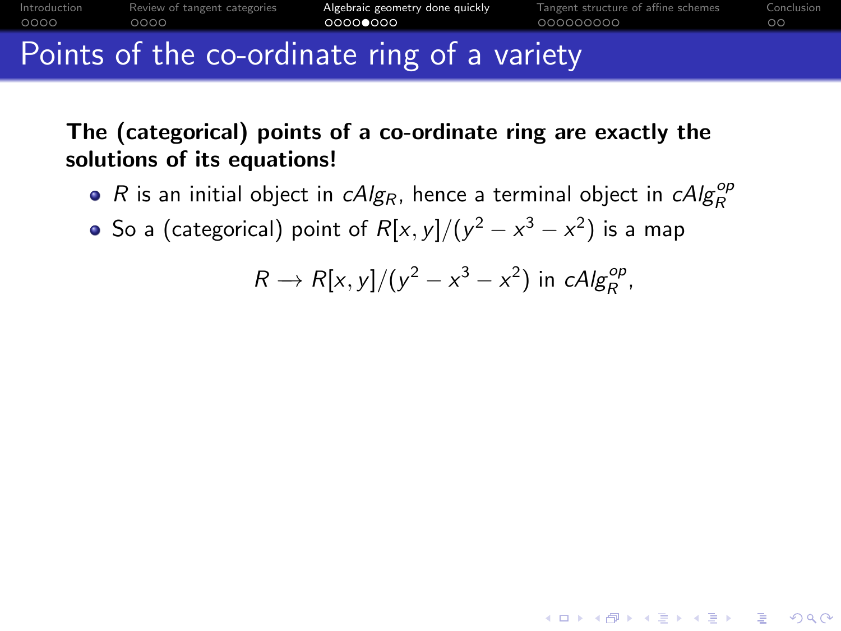

The (categorical) points of a co-ordinate ring are exactly the solutions of its equations!

- R is an initial object in  $\mathit{cAlg}_R$ , hence a terminal object in  $\mathit{cAlg}_R^{op}$
- So a (categorical) point of  $R[x,y]/(y^2-x^3-x^2)$  is a map

 $R \rightarrow R[x, y]/(y^2 - x^3 - x^2)$  in cAlg<sub>R</sub><sup>op</sup>,

**KORKARYKERKER POLO**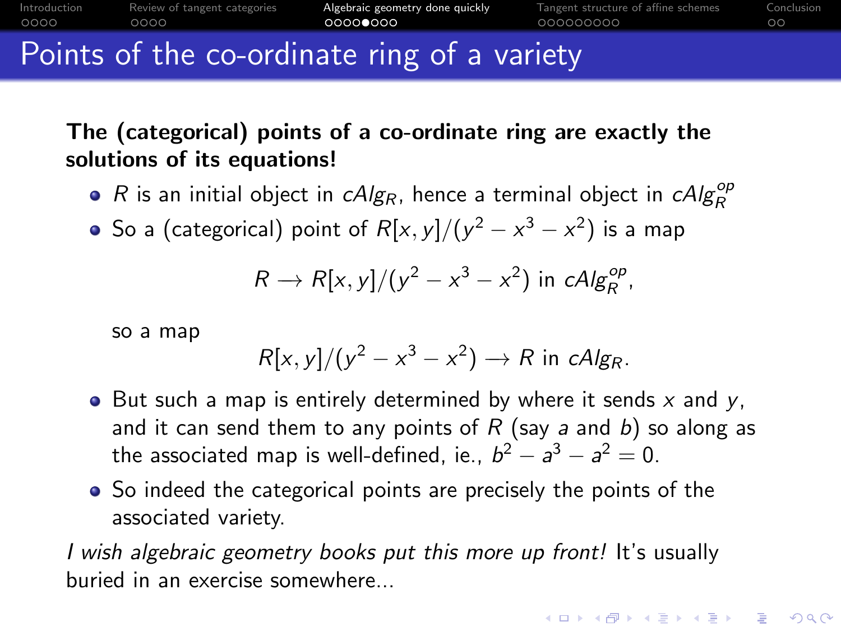

## The (categorical) points of a co-ordinate ring are exactly the solutions of its equations!

- R is an initial object in  $\mathit{cAlg}_R$ , hence a terminal object in  $\mathit{cAlg}_R^{op}$
- So a (categorical) point of  $R[x,y]/(y^2-x^3-x^2)$  is a map

$$
R \to R[x, y]/(y^2 - x^3 - x^2)
$$
 in  $cAlg_R^{op}$ ,

so a map

$$
R[x, y]/(y^2 - x^3 - x^2) \rightarrow R \text{ in } cAlg_R.
$$

**KORKARYKERKER POLO** 

- But such a map is entirely determined by where it sends  $x$  and  $y$ , and it can send them to any points of  $R$  (say a and b) so along as the associated map is well-defined, ie.,  $b^2 - a^3 - a^2 = 0$ .
- So indeed the categorical points are precisely the points of the associated variety.

I wish algebraic geometry books put this more up front! It's usually buried in an exercise somewhere...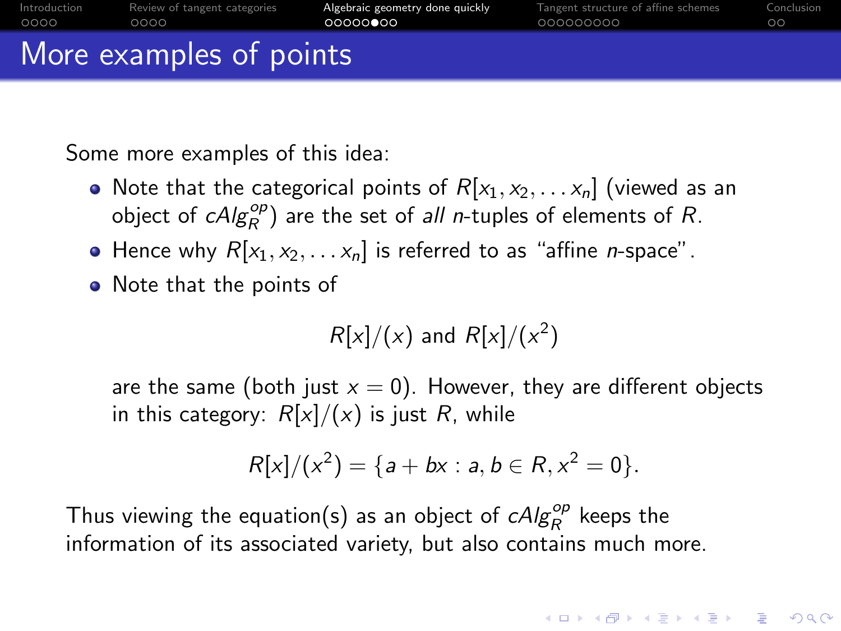| More examples of points |                              |                                 |                                     |            |  |
|-------------------------|------------------------------|---------------------------------|-------------------------------------|------------|--|
| Introduction            | Review of tangent categories | Algebraic geometry done quickly | Tangent structure of affine schemes | Conclusion |  |
| 0000                    | 0000                         | 00000000                        | 000000000                           | $\circ$    |  |

Some more examples of this idea:

- Note that the categorical points of  $R[x_1, x_2, \ldots x_n]$  (viewed as an object of  $cAlg_R^{op}$ ) are the set of all n-tuples of elements of R.
- Hence why  $R[x_1, x_2, \ldots, x_n]$  is referred to as "affine *n*-space".
- Note that the points of

$$
R[x]/(x)
$$
 and 
$$
R[x]/(x^2)
$$

are the same (both just  $x = 0$ ). However, they are different objects in this category:  $R[x]/(x)$  is just R, while

$$
R[x]/(x^2) = \{a + bx : a, b \in R, x^2 = 0\}.
$$

**KORKARYKERKER POLO** 

Thus viewing the equation(s) as an object of  $\mathit{cAlg}^{\mathit{op}}_R$  keeps the information of its associated variety, but also contains much more.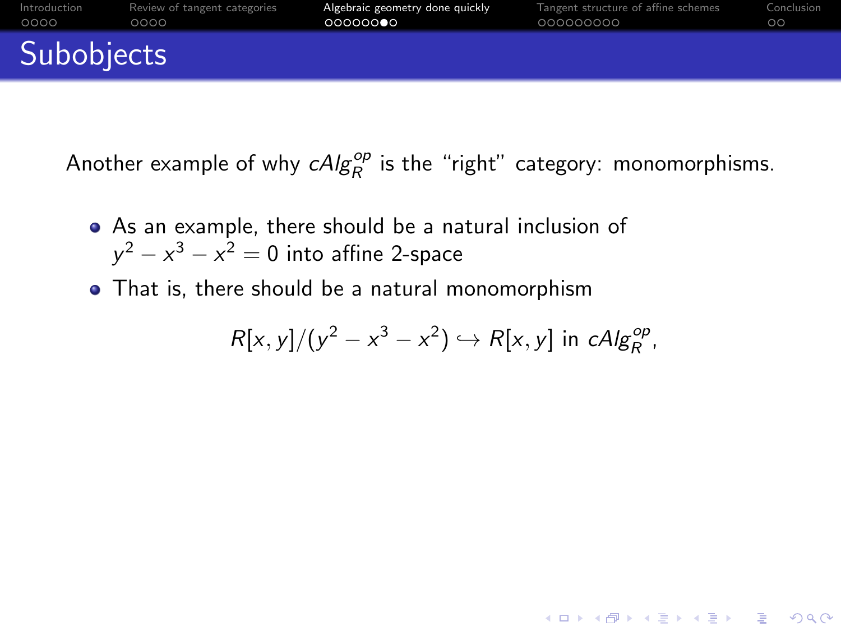| Subobjects   |                              |                                 |                                     |            |
|--------------|------------------------------|---------------------------------|-------------------------------------|------------|
| Introduction | Review of tangent categories | Algebraic geometry done quickly | Tangent structure of affine schemes | Conclusion |
| 0000         | 0000                         | 00000000                        | 000000000                           | $\circ$    |

Another example of why  $\mathit{cAlg}^{\mathit{op}}_R$  is the "right" category: monomorphisms.

- As an example, there should be a natural inclusion of  $y^2 - x^3 - x^2 = 0$  into affine 2-space
- That is, there should be a natural monomorphism

$$
R[x, y]/(y^2 - x^3 - x^2) \hookrightarrow R[x, y] \text{ in } cAlg_R^{op},
$$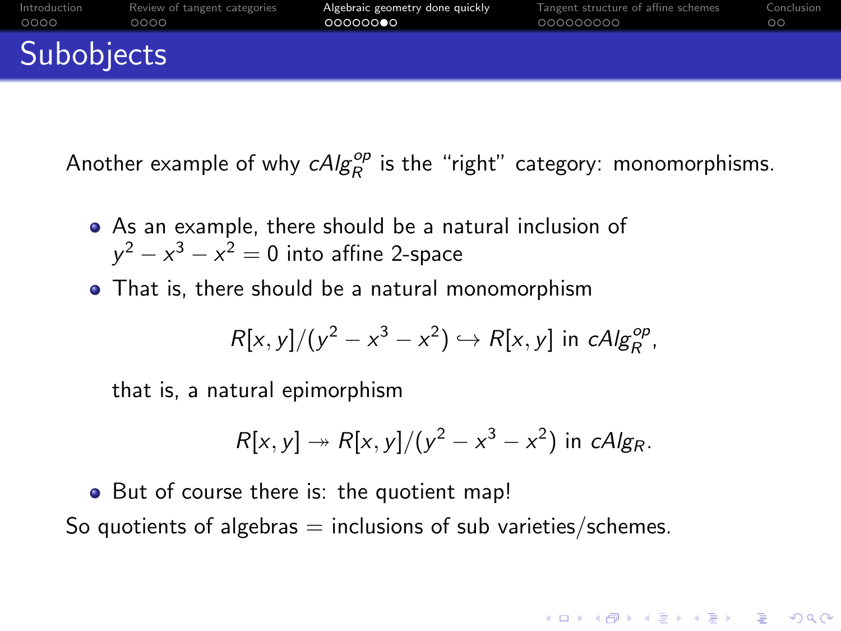| Subobjects   |                              |                                 |                                     |            |
|--------------|------------------------------|---------------------------------|-------------------------------------|------------|
| 0000         | 0000                         | 00000000                        | 000000000                           | ററ         |
| Introduction | Review of tangent categories | Algebraic geometry done quickly | Tangent structure of affine schemes | Conclusion |

Another example of why  $\mathit{cAlg}^{\mathit{op}}_R$  is the "right" category: monomorphisms.

- As an example, there should be a natural inclusion of  $y^2 - x^3 - x^2 = 0$  into affine 2-space
- That is, there should be a natural monomorphism

$$
R[x, y]/(y^2 - x^3 - x^2) \hookrightarrow R[x, y] \text{ in } cAlg_R^{op},
$$

that is, a natural epimorphism

$$
R[x, y] \twoheadrightarrow R[x, y]/(y^2 - x^3 - x^2)
$$
 in c $Alg_R$ .

**KORKAR KERKER SAGA** 

• But of course there is: the quotient map! So quotients of algebras  $=$  inclusions of sub varieties/schemes.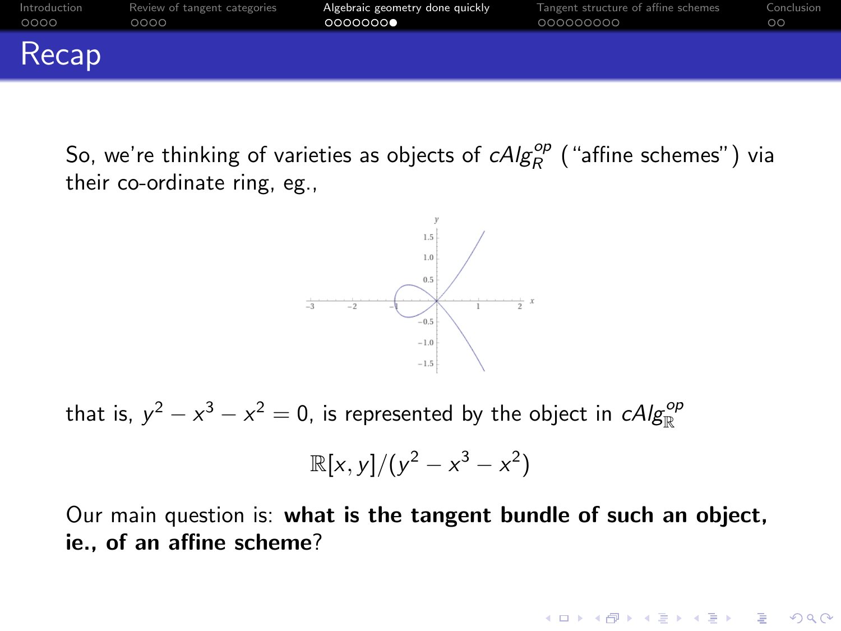<span id="page-22-0"></span>

So, we're thinking of varieties as objects of  $\mathit{cAlg}^{\mathit{op}}_R$  ("affine schemes") via their co-ordinate ring, eg.,



that is,  $y^2 - x^3 - x^2 = 0$ , is represented by the object in  $\mathcal{C}Alg^{\mathcal{O}p}_{\mathbb{R}}$ 

$$
\mathbb{R}[x,y]/(y^2-x^3-x^2)
$$

Our main question is: what is the tangent bundle of such an object, ie., of an affine scheme?

**KORKARYKERKER POLO**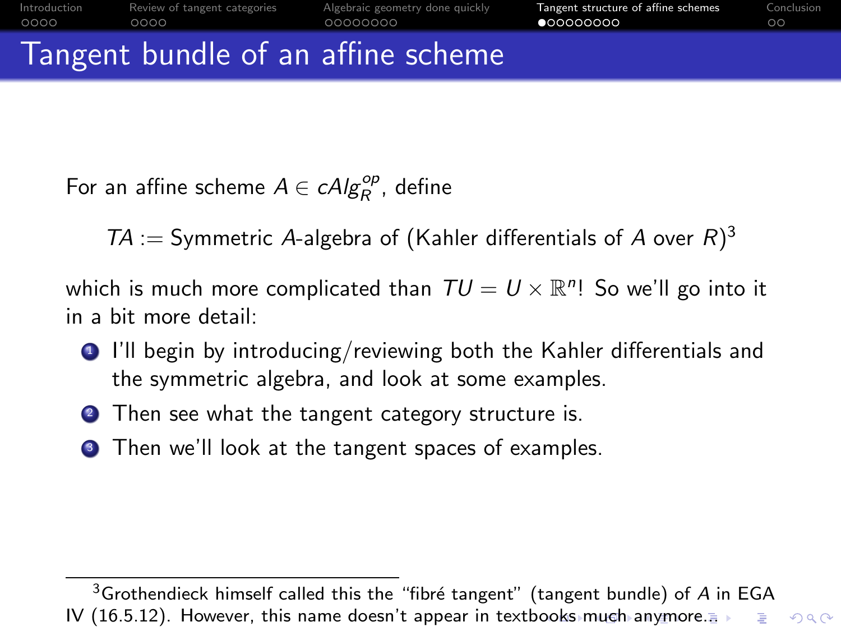<span id="page-23-0"></span>For an affine scheme  $A \in \mathit{cAlg}_R^{op}$ , define

 $TA :=$  Symmetric A-algebra of (Kahler differentials of A over  $R$ )<sup>3</sup>

which is much more complicated than  $TU = U \times \mathbb{R}^n!$  So we'll go into it in a bit more detail:

- **1** I'll begin by introducing/reviewing both the Kahler differentials and the symmetric algebra, and look at some examples.
- <sup>2</sup> Then see what the tangent category structure is.
- **3** Then we'll look at the tangent spaces of examples.

 $3$ Grothendieck himself called this the "fibré tangent" (tangent bundle) of A in EGA IV (16.5.12). However, this name doesn't appear in text[boo](#page-22-0)k[s](#page-24-0) [m](#page-33-0)[uch](#page-23-0) [a](#page-24-0)[n](#page-22-0)[y](#page-23-0)m[o](#page-34-0)[re](#page-22-0)[..](#page-23-0)[.](#page-33-0) B  $QQ$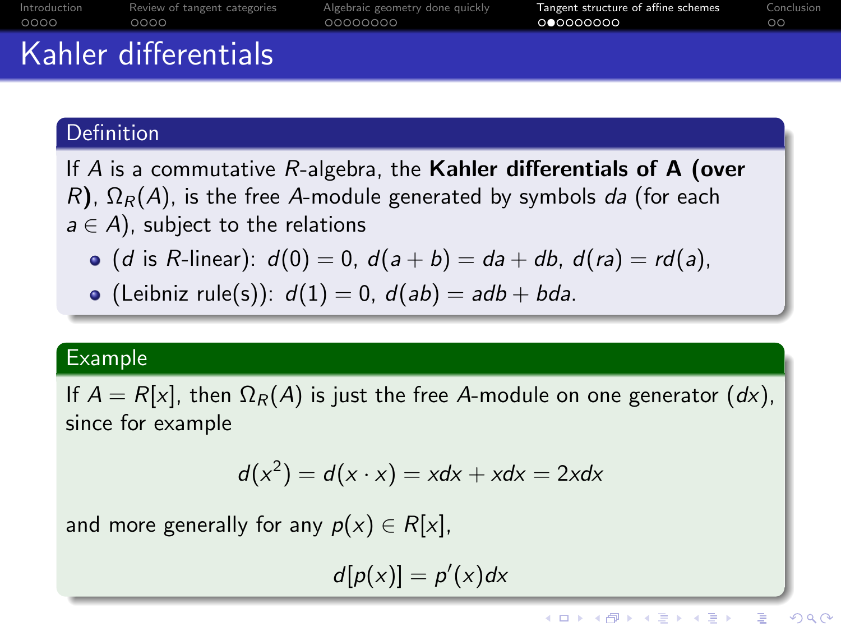<span id="page-24-0"></span>

|              | Kahler differentials         |                                 |                                     |            |
|--------------|------------------------------|---------------------------------|-------------------------------------|------------|
| Introduction | Review of tangent categories | Algebraic geometry done quickly | Tangent structure of affine schemes | Conclusion |
| ററററ         | റററെ                         | 00000000                        | 000000000                           | ററ         |

#### Definition

If  $A$  is a commutative  $R$ -algebra, the Kahler differentials of  $A$  (over R),  $\Omega_R(A)$ , is the free A-module generated by symbols da (for each  $a \in A$ ), subject to the relations

- (d is R-linear):  $d(0) = 0$ ,  $d(a + b) = da + db$ ,  $d(ra) = rd(a)$ ,
- (Leibniz rule(s)):  $d(1) = 0$ ,  $d(ab) = adb + bda$ .

#### Example

If  $A = R[x]$ , then  $\Omega_R(A)$  is just the free A-module on one generator  $(dx)$ , since for example

$$
d(x^2) = d(x \cdot x) = xdx + xdx = 2xdx
$$

and more generally for any  $p(x) \in R[x]$ ,

 $d[p(x)] = p'(x)dx$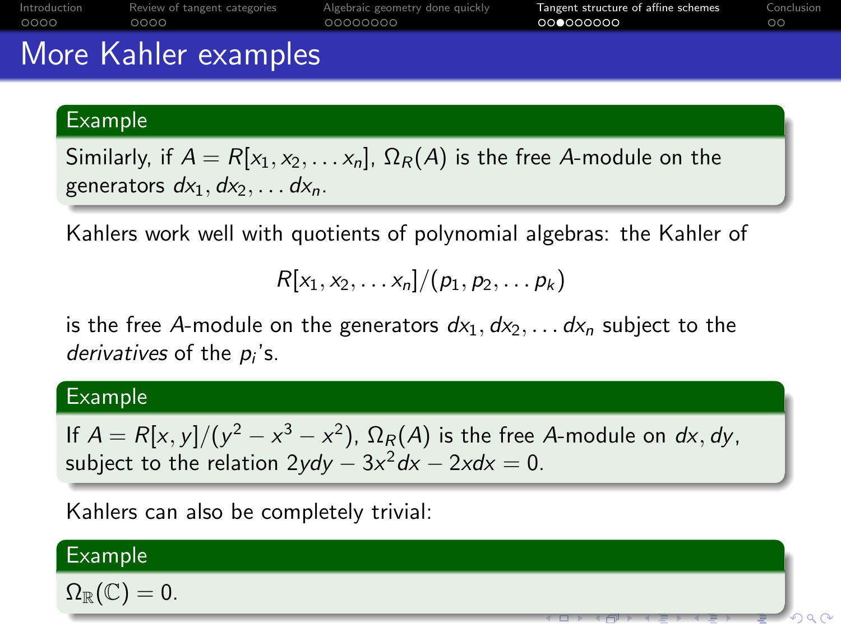|      | More Kahler examples                      |                                 |                                     |            |
|------|-------------------------------------------|---------------------------------|-------------------------------------|------------|
| 0000 | Introduction Review of tangent categories | Algebraic geometry done quickly | Tangent structure of affine schemes | Conclusion |
|      | 0000                                      | 00000000                        | 000000000                           | $\circ$    |

#### Example

Similarly, if  $A = R[x_1, x_2, \ldots, x_n]$ ,  $\Omega_R(A)$  is the free A-module on the generators  $dx_1, dx_2, \ldots dx_n$ .

Kahlers work well with quotients of polynomial algebras: the Kahler of

$$
R[x_1,x_2,\ldots x_n]/(p_1,p_2,\ldots p_k)
$$

is the free A-module on the generators  $dx_1, dx_2, \ldots dx_n$  subject to the derivatives of the  $p_i$ 's.

#### Example

If  $A = R[x, y]/(y^2 - x^3 - x^2)$ ,  $\Omega_R(A)$  is the free A-module on dx, dy, subject to the relation 2*ydy*  $-3x^2 dx - 2xdx = 0$ .

Kahlers can also be completely trivial:

#### Example

 $\Omega_{\mathbb{R}}(\mathbb{C})=0.$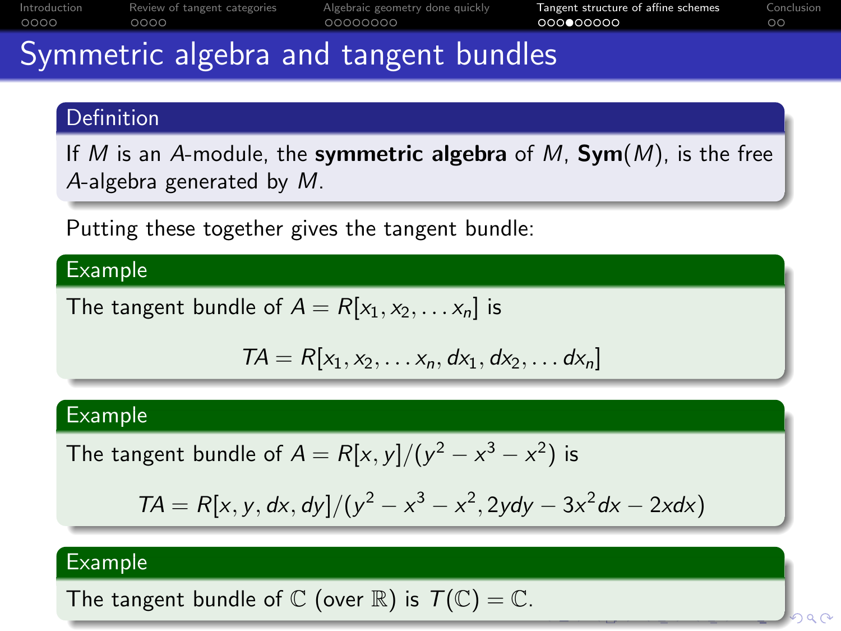<span id="page-26-0"></span>

| Introduction | Review of tangent categories | Algebraic geometry done quickly | Tangent structure of affine schemes | Conclusion |
|--------------|------------------------------|---------------------------------|-------------------------------------|------------|
| 0000         | റററെ                         | 00000000                        | 000000000                           |            |
| $\sim$       |                              |                                 |                                     |            |

## Symmetric algebra and tangent bundles

#### Definition

If M is an A-module, the symmetric algebra of M,  $Sym(M)$ , is the free A-algebra generated by M.

Putting these together gives the tangent bundle:

#### Example

The tangent bundle of  $A = R[x_1, x_2, \ldots, x_n]$  is

$$
TA = R[x_1, x_2, \ldots x_n, dx_1, dx_2, \ldots dx_n]
$$

#### Example

The tangent bundle of  $A = R[x, y]/(y^2 - x^3 - x^2)$  is

$$
TA = R[x, y, dx, dy]/(y^2 - x^3 - x^2, 2ydy - 3x^2dx - 2xdx)
$$

#### Example

The tangent bundle of  $\mathbb C$  (over  $\mathbb R$ ) is  $\mathcal T(\mathbb C)=\mathbb C$ .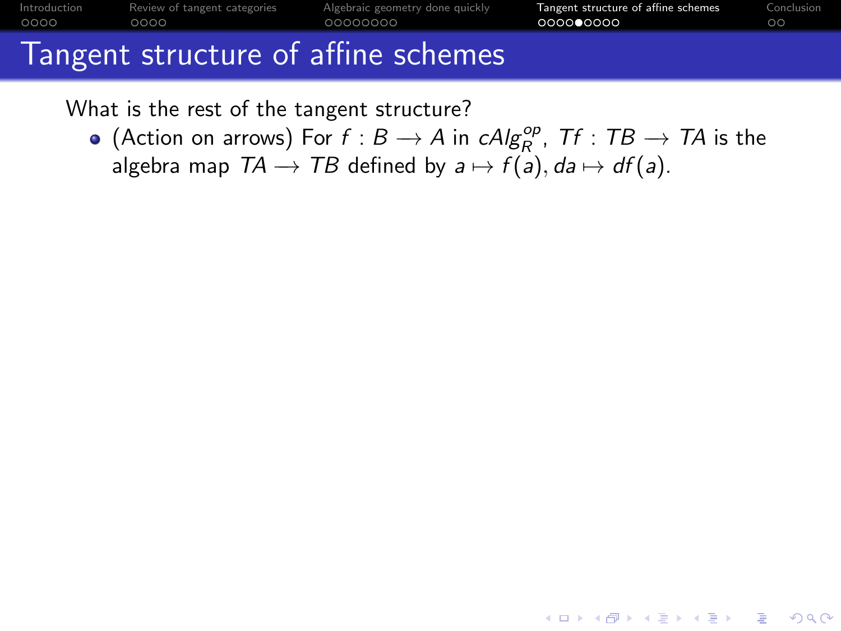<span id="page-27-0"></span>

| Introduction | Review of tangent categories | Algebraic geometry done guickly     | langent structure of affine schemes | Conclusion |
|--------------|------------------------------|-------------------------------------|-------------------------------------|------------|
| 0000         | 0000                         | 00000000                            | 000000000                           | $\circ$    |
|              |                              | Tangent structure of affine schemes |                                     |            |

What is the rest of the tangent structure?

(Action on arrows) For  $f : B \to A$  in  $\mathcal{A} \mathcal{A} g_R^{\mathcal{op}}$ ,  $\mathcal{T} f : TB \to \mathcal{T} A$  is the algebra map  $TA \rightarrow TB$  defined by  $a \mapsto f(a)$ ,  $da \mapsto df(a)$ .

**KORKARYKERKER POLO**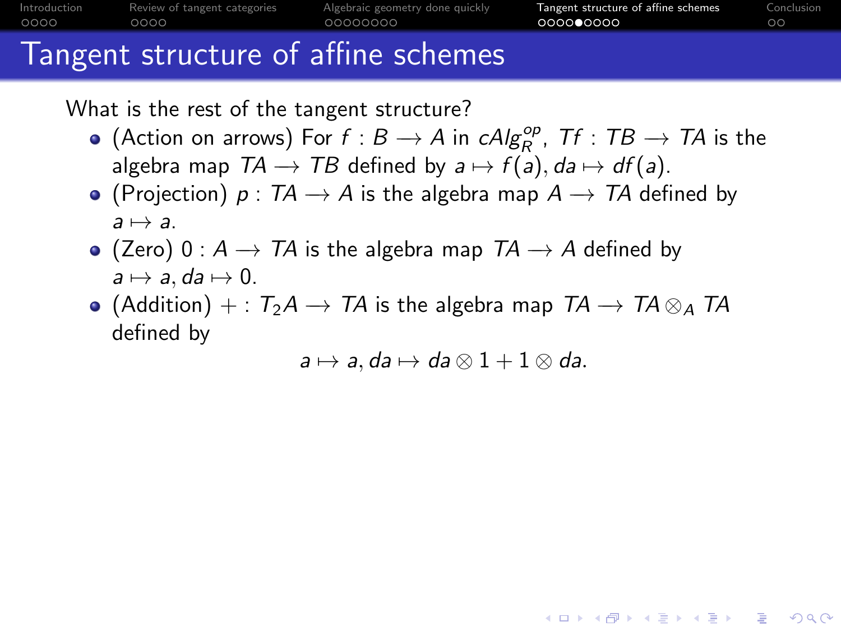<span id="page-28-0"></span>

What is the rest of the tangent structure?

- (Action on arrows) For  $f : B \to A$  in  $\mathcal{A} \mathcal{A} g_R^{\mathcal{op}}$ ,  $\mathcal{T} f : TB \to \mathcal{T} A$  is the algebra map  $TA \rightarrow TB$  defined by  $a \mapsto f(a)$ ,  $da \mapsto df(a)$ .
- (Projection)  $p: TA \rightarrow A$  is the algebra map  $A \rightarrow TA$  defined by  $a \mapsto a$ .
- (Zero) 0 :  $A \rightarrow TA$  is the algebra map  $TA \rightarrow A$  defined by  $a \mapsto a$ , da  $\mapsto 0$ .
- (Addition) + :  $T_2A \rightarrow TA$  is the algebra map  $TA \rightarrow TA \otimes_A TA$ defined by

 $a \mapsto a$ , da  $\mapsto da \otimes 1 + 1 \otimes da$ .

**KORKARYKERKER POLO**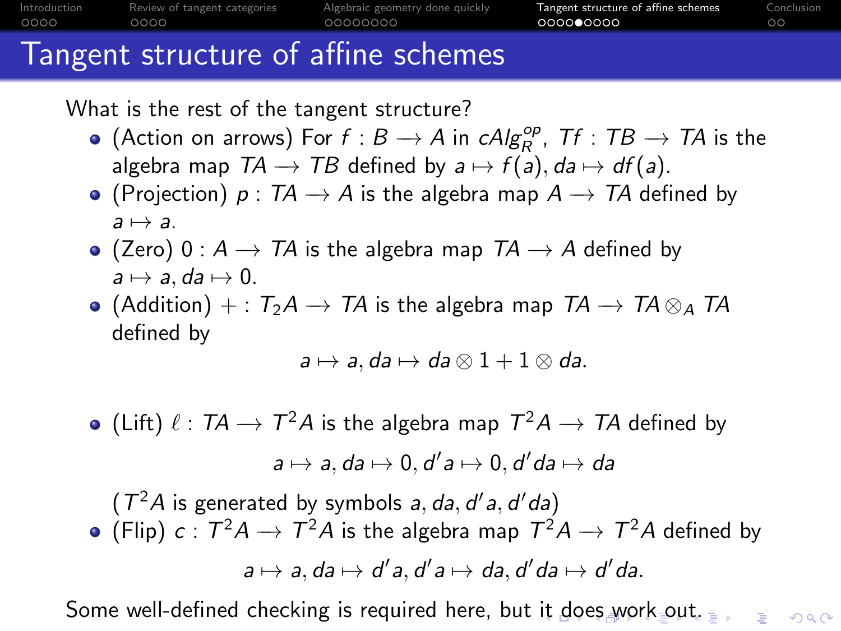<span id="page-29-0"></span>

What is the rest of the tangent structure?

- (Action on arrows) For  $f : B \to A$  in  $\mathcal{A} \mathcal{A} g_R^{\mathcal{op}}$ ,  $\mathcal{T} f : TB \to \mathcal{T} A$  is the algebra map  $TA \rightarrow TB$  defined by  $a \mapsto f(a)$ ,  $da \mapsto df(a)$ .
- (Projection)  $p: TA \rightarrow A$  is the algebra map  $A \rightarrow TA$  defined by  $a \mapsto a$ .
- (Zero) 0 :  $A \rightarrow TA$  is the algebra map  $TA \rightarrow A$  defined by  $a \mapsto a$ , da  $\mapsto 0$ .
- (Addition) + :  $T_2A \rightarrow TA$  is the algebra map  $TA \rightarrow TA \otimes_A TA$ defined by

$$
a\mapsto a, da\mapsto da\otimes 1+1\otimes da.
$$

(Lift)  $\ell: T\!A \rightarrow T^2 A$  is the algebra map  $T^2 A \rightarrow T\!A$  defined by  $a \mapsto a, da \mapsto 0, d'a \mapsto 0, d'da \mapsto da$ 

 $(T^2A)$  is generated by symbols a, da, d'a, d'da) (Flip)  $c: \mathcal{T}^2 A \rightarrow \mathcal{T}^2 A$  is the algebra map  $\mathcal{T}^2 A \rightarrow \mathcal{T}^2 A$  defined by  $a \mapsto a$ , da  $\mapsto d'$ a, d'a $\mapsto da$ , d' $da \mapsto d'da$ .

Some well-defined checking is required here, but [it](#page-28-0) [do](#page-30-0)[es](#page-26-0)[w](#page-29-0)[o](#page-30-0)[rk](#page-22-0) [o](#page-33-0)[u](#page-34-0)[t.](#page-22-0)  $\equiv$ 

 $2Q$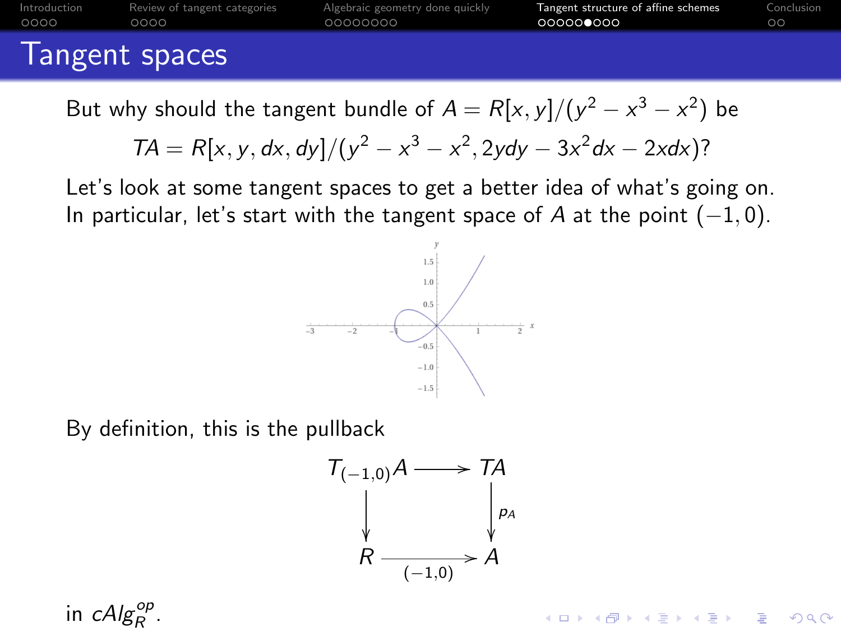<span id="page-30-0"></span>

|      | Introduction Review of tangent categories | Algebraic geometry done quickly | Tangent structure of affine schemes | Conclusion |  |  |
|------|-------------------------------------------|---------------------------------|-------------------------------------|------------|--|--|
| 0000 | 0000                                      | 00000000                        | 000000000                           | ററ         |  |  |
|      |                                           |                                 |                                     |            |  |  |
|      | Tongent chaces                            |                                 |                                     |            |  |  |

Tangent spaces

But why should the tangent bundle of  $A = R[x,y]/(y^2 - x^3 - x^2)$  be

$$
TA = R[x, y, dx, dy]/(y^2 - x^3 - x^2, 2ydy - 3x^2dx - 2xdx)?
$$

Let's look at some tangent spaces to get a better idea of what's going on. In particular, let's start with the tangent space of A at the point  $(-1, 0)$ .



By definition, this is the pullback



**KORK EXTERNE PROVIDE** 

in  $\mathcal{C}Alg_{R}^{op}$ .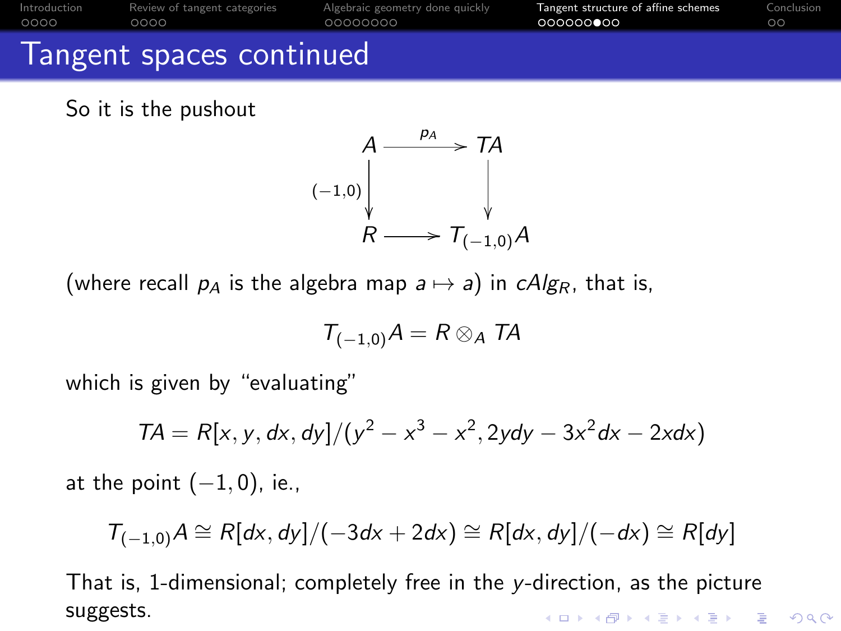| Introduction | Review of tangent categories | Algebraic geometry done quickly | Tangent structure of affine schemes | Conclusion |
|--------------|------------------------------|---------------------------------|-------------------------------------|------------|
| 0000         | 0000                         | 00000000                        | 000000000                           | ററ         |
|              | Tangent spaces continued     |                                 |                                     |            |

So it is the pushout



(where recall  $p_A$  is the algebra map  $a \mapsto a$ ) in cAlg<sub>R</sub>, that is,

$$
T_{(-1,0)}A=R\otimes_A TA
$$

which is given by "evaluating"

$$
TA = R[x, y, dx, dy]/(y^2 - x^3 - x^2, 2ydy - 3x^2dx - 2xdx)
$$

at the point  $(-1, 0)$ , ie.,

$$
T_{(-1,0)}A \cong R[dx, dy]/(-3dx + 2dx) \cong R[dx, dy]/(-dx) \cong R[dy]
$$

That is, 1-dimensional; completely free in the y-direction, as the picture suggests.**KORK EXTERNE PROVIDE**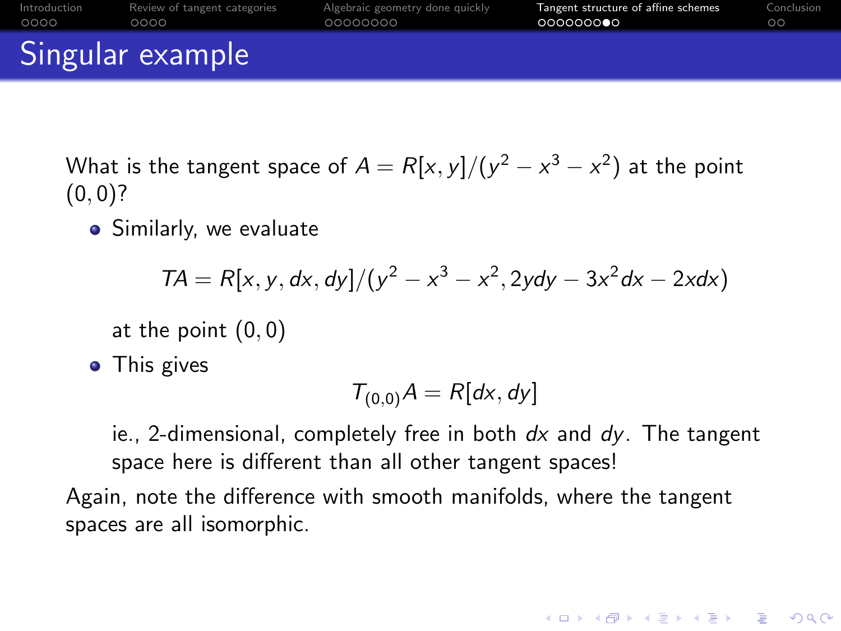<span id="page-32-0"></span>

|      | Singular example                          |                                 |                                     |            |
|------|-------------------------------------------|---------------------------------|-------------------------------------|------------|
| 0000 | Introduction Review of tangent categories | Algebraic geometry done quickly | Tangent structure of affine schemes | Conclusion |
|      | 0000                                      | 00000000                        | 000000000                           | $\circ$    |

What is the tangent space of  $A=R[x,y]/(y^2-x^3-x^2)$  at the point  $(0, 0)?$ 

**•** Similarly, we evaluate

$$
TA = R[x, y, dx, dy]/(y^2 - x^3 - x^2, 2ydy - 3x^2dx - 2xdx)
$$

at the point (0, 0)

• This gives

$$
T_{(0,0)}A = R[dx, dy]
$$

ie., 2-dimensional, completely free in both  $dx$  and  $dy$ . The tangent space here is different than all other tangent spaces!

**KORKARYKERKER POLO** 

Again, note the difference with smooth manifolds, where the tangent spaces are all isomorphic.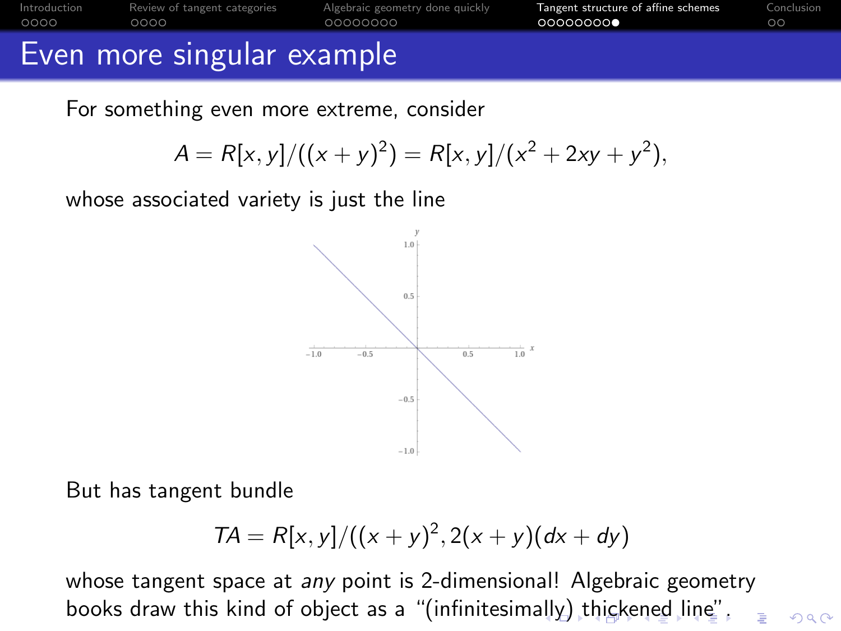<span id="page-33-0"></span>

|       | Even more singular example                |                                 |                                     |            |
|-------|-------------------------------------------|---------------------------------|-------------------------------------|------------|
| .0000 | Introduction Review of tangent categories | Algebraic geometry done quickly | Tangent structure of affine schemes | Conclusion |
|       | 0000                                      | 00000000                        | 00000000                            | $\circ$    |

For something even more extreme, consider

$$
A = R[x, y]/((x + y)^{2}) = R[x, y]/(x^{2} + 2xy + y^{2}),
$$

whose associated variety is just the line



But has tangent bundle

$$
TA = R[x, y]/((x + y)^2, 2(x + y)(dx + dy))
$$

whose tangent space at any point is 2-dimensional! Algebraic geometry books draw this kind of object as a "(infinitesim[ally](#page-32-0)[\) t](#page-34-0)[h](#page-32-0)[ick](#page-33-0)[e](#page-34-0)[n](#page-22-0)[e](#page-23-0)[d](#page-33-0) [l](#page-34-0)[in](#page-22-0)[e](#page-23-0)["](#page-33-0)[.](#page-34-0) $QQ$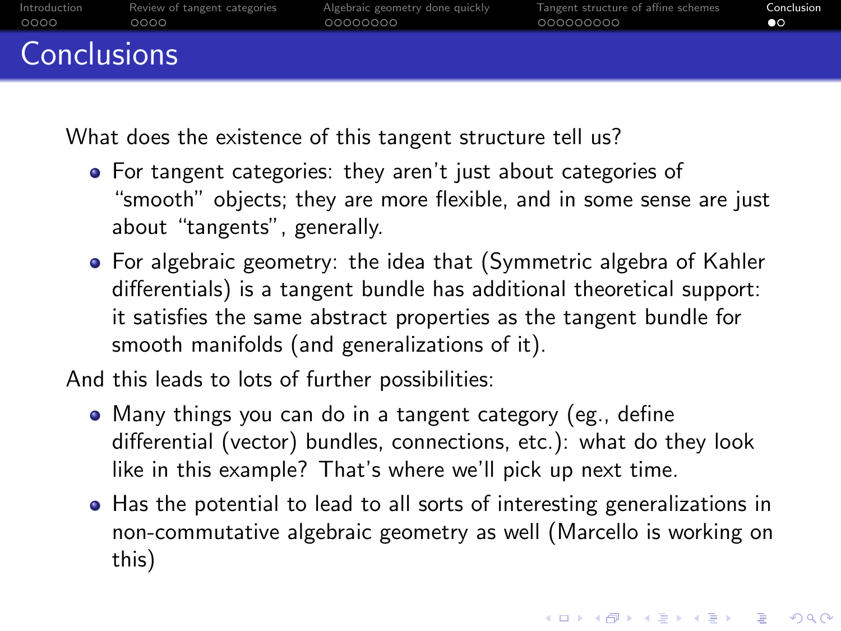<span id="page-34-0"></span>

| Introduction | Review of tangent categories | Algebraic geometry done quickly | Tangent structure of affine schemes | Conclusion     |
|--------------|------------------------------|---------------------------------|-------------------------------------|----------------|
| 0000         | 0000                         | 00000000                        | 000000000                           | $\bullet\circ$ |
| Conclusions  |                              |                                 |                                     |                |

What does the existence of this tangent structure tell us?

- For tangent categories: they aren't just about categories of "smooth" objects; they are more flexible, and in some sense are just about "tangents", generally.
- For algebraic geometry: the idea that (Symmetric algebra of Kahler differentials) is a tangent bundle has additional theoretical support: it satisfies the same abstract properties as the tangent bundle for smooth manifolds (and generalizations of it).

And this leads to lots of further possibilities:

- Many things you can do in a tangent category (eg., define differential (vector) bundles, connections, etc.): what do they look like in this example? That's where we'll pick up next time.
- Has the potential to lead to all sorts of interesting generalizations in non-commutative algebraic geometry as well (Marcello is working on this)

4 0 > 4 4 + 4 = + 4 = + = + + 0 4 0 +